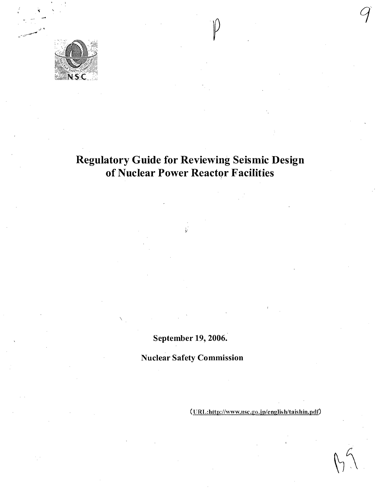

# Regulatory Guide for Reviewing Seismic Design of Nuclear Power Reactor Facilities

**P** 

September 19, 2006.

Nuclear Safety Commission

(URL:http://www.nsc.go.jp/english/taishin.pdf)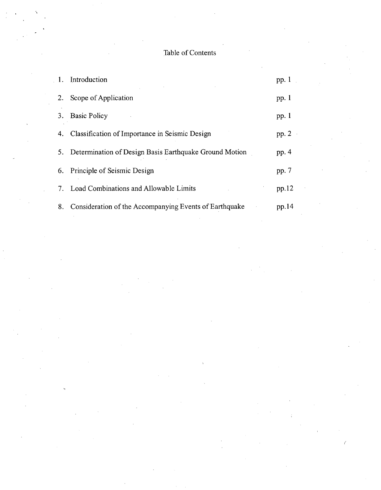# Table of Contents

| $1_{-}$ | Introduction                                              | pp.1    |
|---------|-----------------------------------------------------------|---------|
| 2.      | Scope of Application                                      | pp. $1$ |
| 3.      | <b>Basic Policy</b>                                       | pp. $1$ |
| 4.      | Classification of Importance in Seismic Design            | pp. $2$ |
|         | 5. Determination of Design Basis Earthquake Ground Motion | pp. $4$ |
|         | 6. Principle of Seismic Design                            | pp. 7   |
| 7.      | Load Combinations and Allowable Limits                    | pp.12   |
| 8.      | Consideration of the Accompanying Events of Earthquake    | pp.14   |

 $\overline{\mathcal{C}}$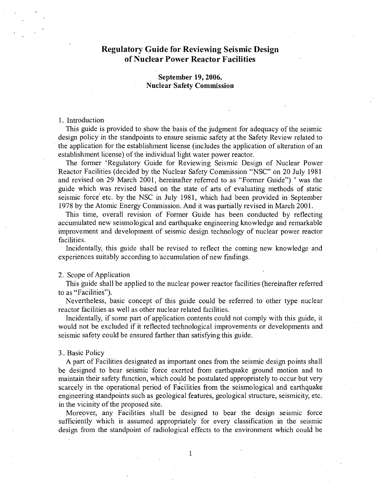# Regulatory Guide for Reviewing Seismic Design of Nuclear Power Reactor Facilities

# September **19, 2006.** Nuclear Safety Commission

#### **1.** Introduction

This guide is provided to show the basis of the judgment for adequacy of the seismic design policy in the standpoints to ensure seismic safety at the Safety Review related to the application for the establishment license (includes the application of alteration of an establishment license) of the individual light water power reactor.

The former 'Regulatory Guide for Reviewing Seismic Design of Nuclear Power Reactor Facilities (decided by the Nuclear Safety Commission "NSC" on 20 July 1981 and revised on 29 March 2001, hereinafter referred to as "Former Guide") ' was the guide which was revised based on the state of arts of evaluating methods of static seismic force etc. by the NSC in July 1981, which had been provided in September 1978 by the Atomic Energy Commission. And it was partially revised in March 2001.

This time, overall revision of Former Guide has been conducted by reflecting accumulated new seismological and earthquake engineering knowledge and remarkable improvement and development of seismic design technology of nuclear power reactor facilities.

Incidentally, this guide shall be revised to reflect the coming new knowledge and experiences suitably according to accumulation of new findings.

#### 2. Scope of Application

This guide shall be applied to the nuclear power reactor facilities (hereinafter referred to as "Facilities").

Nevertheless, basic concept of this guide could be referred to other type nuclear reactor facilities as well as other nuclear related facilities.

Incidentally, if some part of application contents could not comply with this guide, it would not be excluded if it reflected technological improvements or developments and seismic safety could be ensured farther than satisfying this guide.

#### **3.,** Basic Policy

A part of Facilities designated as important ones from the seismic design points shall be designed to bear seismic force exerted from earthquake ground motion and to maintain their safety function, which could be postulated appropriately to occur but very scarcely in the operational period of Facilities from the seismological and earthquake engineering standpoints such as geological features, geological structure, seismicity, etc. in the vicinity of the proposed site.

Moreover, any Facilities shall be designed to bear the design seismic force sufficiently which is assumed appropriately for every classification in the seismic design from the standpoint of radiological effects to the environment which could be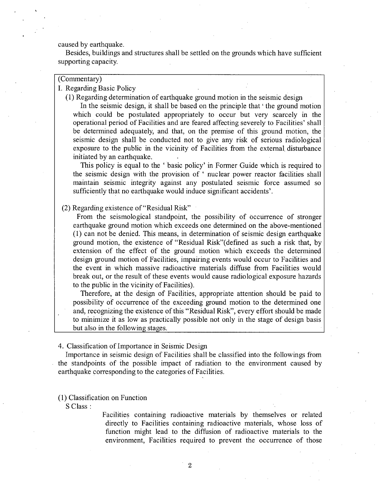caused by earthquake.

Besides, buildings and structures shall be settled on the grounds which have sufficient supporting capacity.

# (Commentary)

I. Regarding Basic Policy

(1) Regarding determination of earthquake ground motion in the seismic design

In the seismic design, it shall be based on the principle that ' the ground motion which could be postulated appropriately to occur but very scarcely in the operational period of Facilities and are feared affecting severely to Facilities' shall be determined adequately, and that, on the premise of this ground motion, the seismic design shall be conducted not to give any risk of serious radiological exposure to the public in the vicinity of Facilities from the external, disturbance initiated by an earthquake.

This policy is equal to the 'basic policy' in Former Guide which is required to the seismic design with the provision of ' nuclear power reactor facilities shall maintain seismic integrity against any postulated seismic force assumed so sufficiently that no earthquake would induce significant accidents'.

(2) Regarding existence of "Residual Risk"

From the seismological standpoint, the possibility of occurrence of stronger earthquake ground motion which exceeds one determined on the above-mentioned (1) can not be denied. This means, in determination of seismic design earthquake ground motion, the existence of "Residual Risk"(defmed as such a risk that, by extension of the effect of the ground motion which exceeds the determined design ground motion of Facilities, impairing events would occur to Facilities and the event in which massive radioactive materials diffuse from Facilities would break out, or the result of these events would cause radiological exposure hazards to the public in the vicinity of Facilities).

Therefore, at the design of Facilities, appropriate attention should be paid to possibility of occurrence of the exceeding ground motion to the determined one and, recognizing the existence of this "Residual Risk", every effort should be made to minimize it as low as practically possible not only in the stage of design basis but also in the following stages.

4. Classification of Importance in Seismic Design

Importance in seismic design of Facilities shall be classified into the followings from the standpoints of the possible impact of radiation to the environment caused by earthquake corresponding to the categories of Facilities.

(1) Classification on Function

**S** Class **:**

Facilities containing radioactive materials by themselves or related directly to Facilities containing radioactive materials, whose loss of function might lead to the diffusion of radioactive materials to the environment, Facilities required to prevent the occurrence of those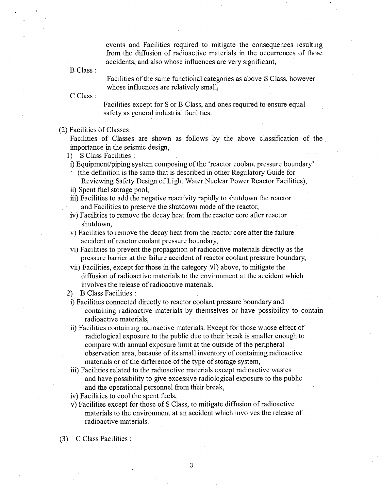events and Facilities required to mitigate the consequences resulting from the diffusion of radioactive materials in the occurrences of those accidents, and also whose influences are very significant,

B Class

Facilities of the same functiohal categories as above **S** Class, however whose influences are relatively small,

**C** Class

Facilities except for **S** or B Class, and ones required to ensure equal safety as general industrial facilities.

## (2) Facilities **of** Classes

Facilities of Classes are shown as follows **by** the above classification of the importance in the seismic design,

1) S Class Facilities :

i) Equipment/piping system composing of the 'reactor coolant pressure boundary'

- (the definition is the same that is described in other Regulatory Guide for Reviewing Safety. Design of Light Water Nuclear Power Reactor Facilities),
- ii) Spent fuel storage pool,
- iii) Facilities to add the negative reactivity rapidly to shutdown the reactor and Facilities to preserve the shutdown mode of the reactor,
- **IV)** Facilities to remove the decay heat from the reactor core after reactor shutdown,
- v) Facilities to remove the decay heat from the reactor core after the failure accident of reactor coolant pressure boundary,
- vi) Facilities to prevent the propagation of radioactive materials directly as the pressure barrier at the failure accident of reactor coolant pressure boundary,
- vii) Facilities, except for those in the category vi) above, to mitigate the diffusion of radioactive materials to the environment at the accident which involves the release of radioactive materials.
- 2) B Class Facilities:
- i) Facilities connected directly to reactor coolant pressure boundary and containing radioactive materials **by** themselves or have possibility to contain radioactive materials,
- **ii)** Facilities containing radioactive materials. Except for those whose effect of radiological exposure to the public due to their break is smaller enough to compare with annual exposure limit at the outside of the peripheral observation area, because of its small inventory of containing radioactive materials or of the difference of the type of storage system,
- iii) Facilities related to the radioactive materials except radioactive wastes and have possibility to give excessive radiological exposure to the public and the operational personnel from their break,
- iv) Facilities to cool the spent fuels,
- v) Facilities except for those of **S** Class, to mitigate diffusion of radioactive materials to the environment at an accident which involves the release of radioactive materials.
- **(3) C** Class Facilities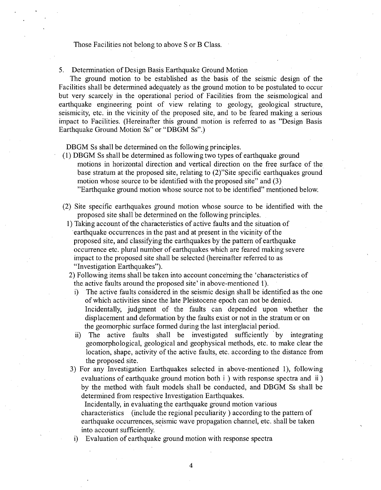## Those Facilities not belong to above S or B Class.

5. Determination of Design Basis Earthquake Ground Motion

The ground motion to be established as the basis of the seismic design of the Facilities shall be determined adequately as the ground motion to be postulated to occur but very scarcely in the operational period of Facilities from the seismological and earthquake engineering point of view relating to geology, geological structure, seismicity, etc. in the vicinity of the proposed site, and to be feared making a serious impact to Facilities. (Hereinafter this ground motion is referred to as "Design Basis Earthquake Ground Motion Ss" or "DBGM Ss".)

DBGM Ss shall be determined on the following principles.

- (1) DBGM Ss shall be determined as following two types of earthquake ground motions in horizontal direction and vertical direction on the free surface of the base stratum at the proposed site, relating to (2)"Site specific earthquakes ground motion whose source to be identified with the proposed site" and (3) "Earthquake ground motion whose source not to be identified" mentioned below.
- (2) Site specific earthquakes ground motion whose source to be identified with the proposed site shall be determined on the following principles.
	- 1) Taking account of the characteristics of active faults and the situation of earthquake occurrences in the past and at present in the vicinity of the proposed site, and classifying the earthquakes by the pattern of earthquake occurrence etc. plural number of earthquakes which are feared making severe impact to the proposed site shall be selected (hereinafter referred to as "Investigation Earthquakes").
	- 2) Following items shall be taken into account concerning the 'characteristics of the. active faults around the proposed site' in above-mentioned **1).**
		- i) The active faults considered in the seismic design shall be identified as the one of which activities since the late Pleistocene epoch can not be denied. Incidentally, judgment of the faults can depended upon whether the displacement and deformation by the faults exist or not in the stratum or on the geomorphic surface formed during the last interglacial period.
		- ii) The active faults shall be investigated sufficiently by integrating geomorphological, geological and geophysical methods, etc. to make clear the location, shape, activity of the active faults, etc. according to the distance from the proposed site.
	- 3) For any Investigation Earthquakes selected in above-mentioned 1), following evaluations of earthquake ground motion both i ) with response spectra and ii **)** by the method with fault models shall be conducted, and DBGM Ss shall be determined from respective Investigation Earthquakes.

Incidentally, in evaluating the earthquake ground motion various characteristics (include the regional peculiarity ) according to the pattern of earthquake occurrences, seismic wave propagation channel, etc. shall be taken into account sufficiently.

i) Evaluation of earthquake ground motion with response spectra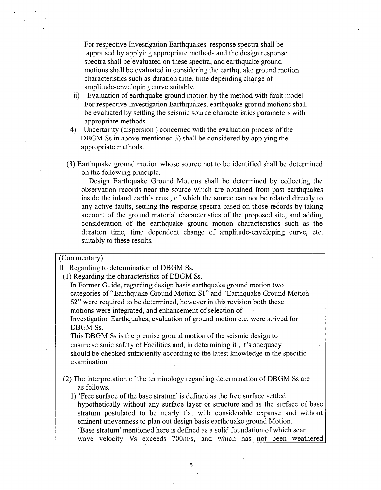For respective Investigation Earthquakes, response spectra shall be appraised by applying appropriate methods and the design response spectra shall be evaluated on these spectra, and earthquake ground motions shall be evaluated in considering the earthquake ground motion characteristics such as duration time, time depending change of amplitude-enveloping curve suitably.

- ii) Evaluation of earthquake ground motion by the method with fault model For respective Investigation Earthquakes, earthquake ground motions shall be evaluated by settling the seismic source characteristics parameters with appropriate methods.
- 4) Uncertainty (dispersion) concerned with the evaluation process of the DBGM Ss in above-mentioned 3) shall be considered by applying the appropriate methods.
- (3) Earthquake ground motion whose source not to be identified shall be determined on the following principle.

Design Earthquake Ground Motions shall be determined by collecting the observation records near the source which are obtained from past earthquakes inside the inland earth's crust, of which the source can not be related directly to any active faults, settling the response spectra based on those records by taking account of the ground material characteristics of the proposed site, and adding consideration of the earthquake ground motion characteristics such as the duration time, time dependent change of amplitude-enveloping curve, etc. suitably to these results.

# (Commentary)

II. Regarding to determination of DBGM Ss.

(1) Regarding the characteristics of DBGM Ss.

In Former Guide, regarding design basis earthquake ground motion two categories of."Earthquake Ground Motion SI" and "Earthquake Ground Motion **S2"** were required to be determined, however in this revision both these motions were integrated, and enhancement of selection of

Investigation Earthquakes, evaluation of ground motion etc. were strived for DBGM Ss.

This DBGM Ss is the premise ground motion of the seismic design to ensure seismic safety of Facilities and, in determining **it,** it's adequacy should be checked sufficiently according to the latest knowledge in the specific examination.

(2) The interpretation of the terminology regarding determination of DBGM Ss are as follows.

1) 'Free surface of the base stratum' is defined as the free surface settled hypothetically without any surface layer or structure and as the surface of base stratum postulated to be nearly flat with considerable expanse and without eminent unevenness to plan out design basis earthquake ground Motion. 'Base stratum' mentioned here is defined as a solid foundationof which sear wave velocity Vs exceeds 700m/s, and which has not been weathered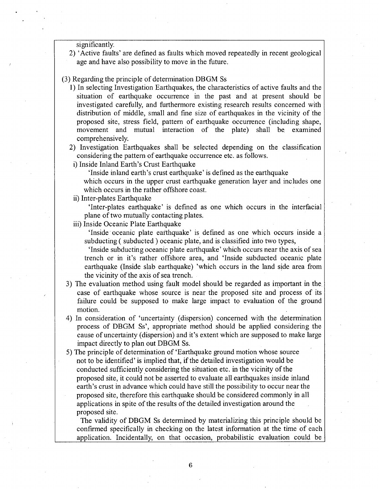significantly.

2) 'Active faults' are defined as faults which moved repeatedly in recent geological age and have also possibility to move in the future.

# (3) Regarding the principle of determination DBGM Ss

- 1) In selecting Investigation Earthquakes, the characteristics of active faults and the situation of earthquake occurrence in the past and at present should be investigated carefully, and furthermore existing research results concerned with distribution of middle, small and fine size of earthquakes in the vicinity of the proposed site, stress field, pattern of earthquake occurrence (including shape, movement and mutual interaction of the plate) shall be examined comprehensively.
- 2) Investigation Earthquakes shall be selected depending on the classification considering the pattern of earthquake occurrence etc. as follows.
- i) Inside Inland Earth's Crust Earthquake

'Inside inland earth's crust earthquake' is defined as the earthquake

which occurs in the upper crust earthquake generation layer and includes one which occurs in the rather offshore coast.

ii) Inter-plates Earthquake

'Inter-plates earthquake' is defined as one which occurs in the interfacial plane of two mutually contacting plates.

iii) Inside Oceanic Plate Earthquake

'Inside\* oceanic plate eafthquake' is defined as one which occurs inside a subducting ( subducted ) oceanic plate, and is classified into two types,

'Inside subducting oceanic plate earthquake' which occurs near the axis of sea trench or in it's rather offshore area, and 'Inside subducted oceanic plate earthquake (Inside slab earthquake) 'which occurs in the land side area from the vicinity of the axis of sea trench.

- 3) The evaluation method using fault model should be regarded as important in the. case of earthquake whose source is near the proposed site and process of its failure could be supposed to make large impact to evaluation of the ground motion.
- 4) In consideration of 'uncertainty (dispersion) concerned with the determination process of DBGM Ss', appropriate method should be applied considering the cause of uncertainty (dispersion) and it's extent which are supposed to make large impact directly to plan out DBGM Ss.
- 5) The principle of determination of 'Earthquake ground motion whose source not to be identified' is implied that, if the detailed investigation would be conducted sufficiently considering the situation etc. in the vicinity of the proposed site, it could not be asserted to evaluate all earthquakes inside inland earth's crust in advance which could have still the possibility to occur near the proposed site, therefore this earthquake should be considered commonly in all applications in spite of the results of the detailed investigation around the proposed site.

The validity of DBGM Ss determined by materializing this principle should be confirmed specifically in checking on the latest information at the time of each application. Incidentally, on that occasion, probabilistic evaluation could be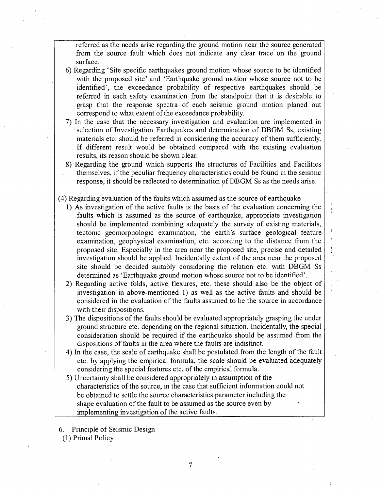referred as the needs arise regarding the ground motion near the source generated from the source fault which does not indicate any clear trace on the ground surface.

- 6) Regarding 'Site specific earthquakes ground motion whose source to be identified with the proposed site' and 'Earthquake ground motion whose source not to be identified', the exceedance probability of respective earthquakes should be referred in each safety examination from the standpoint that it is desirable to grasp that the response spectra of each seismic ground motion planed out correspond to what extent of the exceedance probability.
- 7) In the case that the necessary investigation and evaluation are implemented in selection of Investigation Earthquakes and determination of DBGM Ss, existing materials etc. should be referred in considering the accuracy of them sufficiently. If different result would be obtained compared with the existing evaluation results, its reason should be shown clear.
- 8) Regarding the ground which supports the structures of Facilities and Facilities themselves, if the peculiar frequency characteristics could be found in the seismic response, it should be reflected to determination of DBGM Ss as the needs arise.
- (4) Regarding evaluation of the faults which assumed as the source of earthquake
	- 1) As investigation of the active faults is the basis of the evaluation concerning the faults which is assumed as the source of earthquake, appropriate investigation should be implemented combining adequately the survey of existing materials, tectonic geomorphologic examination, the earth's surface geological feature examination, geophysical examination, etc. according to the distance from the proposed site. Especially in the area near the proposed site, precise and detailed investigation should be applied. Incidentally extent of the area near the proposed site should be decided suitably considering the relation etc. with DBGM Ss determined as 'Earthquake ground motion whose source not to be identified'.
	- 2) Regarding active folds, active flexures, etc. these should also be the object of investigation in above-mentioned 1) as well as the active faults and should be considered in the evaluation of the faults assumed to be the source in accordance with their dispositions.
	- 3) The dispositions of the faults should be evaluated appropriately grasping the under ground structure etc. depending on the regional situation. Incidentally, the special consideration should be required if the earthquake should be assumed from the dispositions of faults in the area where the faults are indistinct.
	- 4) In the case, the scale of earthquake shall be postulated from the length of the fault etc. by applying the empirical formula, the scale should be evaluated adequately considering the special features etc. of the empirical formula.
	- 5) Uncertainty shall be considered appropriately in assumption of the characteristics of the source, in the case that sufficient information could not be obtained to settle the source characteristics parameter including the shape evaluation of the fault to be assumed as the source even by implementing investigation of the active faults.
- 6. Principle of Seismic Design (1) Primal Policy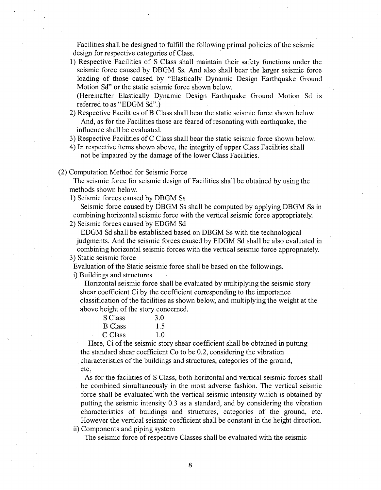Facilities shall be designed to fulfill the following primal policies of the seismic design for respective categories of Class.

1) Respective Facilities of S Class shall maintain their safety functions under the seismic force caused by DBGM Ss. And also shall bear the larger seismic force loading of those caused by "Elastically Dynamic Design Earthquake Ground Motion Sd" or the static seismic force shown below.

(Hereinafter Elastically Dynamic Design Earthquake Ground Motion Sd is referred to as "EDGM Sd".)

- 2) Respective Facilities of B Class shall bear the static seismic force shown below. And, as for the Facilities those are feared of resonating with earthquake, the influence shall be evaluated.
- 3) Respective Facilities of C Class shall bear the static seismic force shown below.
- 4) In respective items shown above, the integrity of upper Class Facilities shall not be impaired by the damage of the lower Class Facilities.

(2) Computation Method for Seismic Force

The seismic force for seismic design of Facilities shall be obtained by using the methods shown below.

1) Seismic forces caused by DBGM Ss

Seismic force caused by DBGM Ss shall be computed by applying DBGM Ss in combining horizontal seismic force with the vertical seismic force appropriately.

2) Seismic forces caused by EDGM Sd

EDGM Sd shall be established based on DBGM Ss with the technological judgments. And the seismic forces caused by EDGM Sd shall be also evaluated in combining horizontal seismic forces with the vertical seismic force appropriately.

3) Static seismic force

Evaluation of the Static seismic force shall be based on the followings.

i) Buildings and structures

Horizontal seismic force shall be evaluated by multiplying the seismic story shear coefficient Ci by the coefficient corresponding to the importance classification of the facilities as shown below, and multiplying the weight at the above height of the story concerned.

| S Class        | 3.0 |
|----------------|-----|
| <b>B</b> Class | 1.5 |
| C Class        | 1.0 |

Here, Ci of the seismic story shear coefficient shall be obtained in putting the standard shear coefficient Co to be 0.2, considering the vibration characteristics of the buildings and structures, categories of the ground, etc.

As for the facilities of S Class, both horizontal and vertical seismic forces shall be combined simultaneously in the most adverse fashion. The vertical seismic force shall be evaluated with the vertical seismic intensity which is obtained by putting the seismic intensity 0.3 as a standard, and by considering the vibration characteristics of buildings and structures, categories of the ground, etc. However the vertical seismic coefficient shall be constant in the height direction.

ii) Components and piping system

The seismic force of respective Classes shall be evaluated with the seismic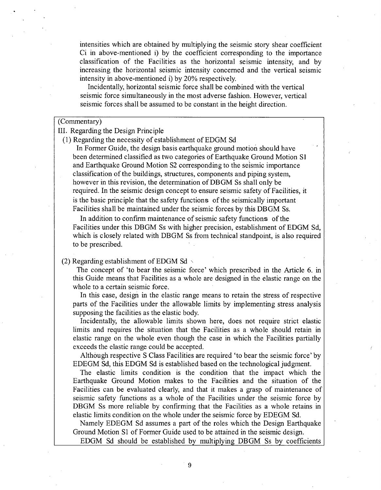intensities which are obtained by multiplying the seismic story shear coefficient Ci in above-mentioned i) by the coefficient corresponding to the importance classification of the Facilities as the horizontal seismic intensity, and by increasing the horizontal seismic intensity concerned and the vertical seismic intensity in above-mentioned i) by 20% respectively.

Incidentally, horizontal seismic force shall be combined with the vertical seismic force simultaneously in the most adverse fashion. However, vertical seismic forces shall be assumed to be constant in the height direction.

## (Commentary)

# III. Regarding the Design Principle

# (1) Regarding the necessity of establishment of EDGM Sd

In Former Guide, the design basis earthquake ground motion should have been determined classified as two categories of Earthquake Ground Motion **S1** and Earthquake Ground Motion **S2** corresponding to the seismic importance classification of the buildings, structures, components and piping system, however in this revision, the determination of DBGM Ss shall only be required. In the seismic design concept to ensure seismic safety of Facilities, it is the basic principle that the safety functions of the seismically important Facilities shall be maintained under the seismic forces by this DBGM Ss.

In addition to confirm maintenance of seismic safety functions of the Facilities under this DBGM Ss with higher precision, establishment of EDGM Sd, which is closely related with DBGM Ss from technical standpoint, is also required to be prescribed.

# (2) Regarding establishment of EDGM Sd  $\sim$

The concept of 'to bear the seismic force' which prescribed in the Article 6. in this Guide means that Facilities as a whole are designed in the elastic range on the whole to a certain seismic force.

In this case, design in the elastic range means to retain the stress of respective parts of the Facilities under the allowable limits by implementing stress analysis supposing the facilities as the elastic body.

Incidentally, the allowable limits shown here, does not require strict elastic limits and requires the situation that the Facilities as a whole should retain in elastic range on the whole even though the case in which the Facilities partially exceeds the elastic range could be accepted.

Although respective S Class Facilities are required 'to bear the seismic force' by EDEGM Sd, this EDGM Sd is established based on the technological judgment.

The elastic limits condition is the condition that the impact which the Earthquake Ground Motion makes to the Facilities and the situation of the Facilities can be evaluated clearly, and that it makes a grasp of maintenance of seismic safety functions as a whole of the Facilities under the seismic force by DBGM Ss more reliable by confirming that the Facilities as a whole retains in elastic limits condition on the whole under the seismic force by EDEGM Sd.

Namely EDEGM Sd assumes a part of the roles which the Design Earthquake Ground Motion **S1** of Former Guide used to be attained in the seismic design.

EDGM Sd should be established by multiplving DBGM Ss by coefficients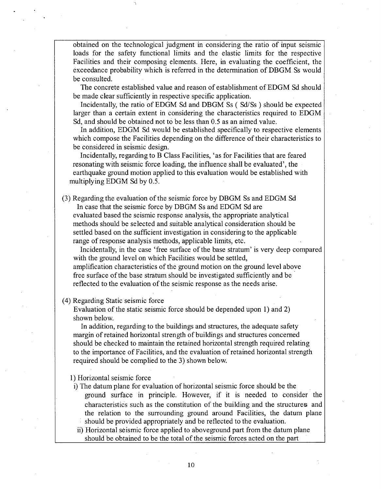obtained on the technological judgment in considering the ratio of input seismic loads for the safety functional limits and the elastic limits for the respective Facilities and their composing elements. Here, in evaluating the coefficient, the exceedance probability which is referred in the determination of DBGM Ss would be consulted.

The concrete established value and reason of establishment of EDGM Sd should be made clear sufficiently in respective specific application.

Incidentally, the ratio of EDGM Sd and DBGM Ss ( Sd/Ss ) should be expected larger than a certain extent in considering the characteristics required to EDGM Sd, and should be obtained not to be less than 0.5 as an aimed value.

In addition, EDGM Sd would be established specifically to respective elements which compose the Facilities depending on the difference of their characteristics to be considered in seismic design.

Incidentally, regarding to B Class Facilities, 'as for Facilities that are feared resonating with seismic force loading, the influence shall be evaluated', the earthquake ground motion applied to this evaluation would be established with multiplying EDGM Sd by 0.5.

(3) Regarding the evaluation of the seismic force by DBGM Ss and EDGM Sd In case that the seismic force by DBGM Ss and EDGM Sd are

evaluated based the seismic response analysis, the appropriate analytical methods should be selected and suitable analytical consideration should be settled based on the sufficient investigation in considering to the applicable range of response analysis methods, applicable limits, etc.

Incidentally, in the case 'free surface of the base stratum' is very deep compared with the ground level on which Facilities would be settled,

amplification characteristics of the ground motion on the ground level above free surface of the base stratum should be investigated sufficiently and be reflected to the evaluation of the seismic response as the needs arise.

## (4) Regarding Static seismic force

Evaluation of the static seismic force should be depended upon 1) and 2) shown below.

In addition, regarding to the buildings and structures, the adequate safety margin of retained horizontal strength of buildings and structures concerned should be checked to maintain the retained horizontal strength required relating to the importance of Facilities, and the evaluation of retained horizontal strength required should be complied to the 3) shown below.

1) Horizontal seismic force

i) The datum plane for evaluation of horizontal seismic force should be the ground surface in principle. However, if it is needed to consider the characteristics such as the constitution of the building and the structures and the relation to the surrounding ground around Facilities, the datum plane should be provided appropriately and be reflected to the evaluation.

ii) Horizontal seismic force applied to aboveground part from the datum plane should be obtained to be the total of the seismic forces acted on the part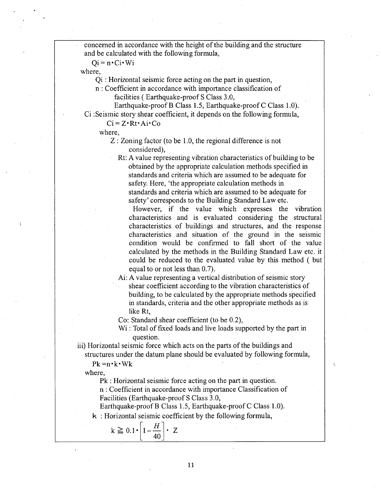concerned in accordance with the height of the building and the structure and be calculated with the following formula,

 $Qi = n \cdot Ci \cdot Wi$ 

where,

Qi **:** Horizontal seismic force acting on the part in question,

n **:** Coefficient in accordance with importance classification of facilities ( Earthquake-proof S Class 3.0,

Earthquake-proof B Class 1.5, Earthquake-proof C Class 1.0).

Ci :Seismic story shear coefficient, it depends on the following formula,

 $Ci = Z \cdot Rt \cdot Ai \cdot Co$ 

where,

Z: Zoning factor (to be 1.0, the regional difference is not considered),

Rt: A value representing vibration characteristics of building to be obtained by the appropriate calculation methods specified in standards and criteria which are assumed to be adequate for safety. Here, 'the appropriate calculation methods in

standards and criteria which are assumed to be adequate for safety' corresponds to the Building Standard Law etc.

However, if the value which expresses the vibration characteristics and is evaluated considering the structural characteristics of buildings and structures, and the response characteristics and situation of the ground in the seismic condition would be confirmed to fall short of the value calculated by the methods in the Building Standard Law etc. it could be reduced to the evaluated value by this method ( but equal to or not less than 0.7).

Ai: A value representing a vertical distribution of seismic story

shear coefficient according to the vibration characteristics of building, to be calculated by the appropriate methods specified in standards, criteria and the other appropriate methods as is like Rt,

 $\epsilon$ 

Co: Standard shear coefficient (to be 0.2),

Wi : Total of fixed loads and live loads supported by the part in question.

iii) Horizontal seismic force which acts on the parts of the buildings and structures under the datum plane should be evaluated by following formula,

 $Pk = n \cdot k \cdot \text{Wk}$ 

where,

Pk : Horizontal seismic force acting on the part in question.

n : Coefficient in accordance with importance Classification of Facilities (Earthquake-proof **S** Class 3.0,

Earthquake-proof B Class 1.5, Earthquake-proof C Class 1.0).

k **:** Horizontal seismic coefficient by the following formula,

$$
k \ge 0.1 \cdot \left[1 - \frac{H}{40}\right] \cdot Z
$$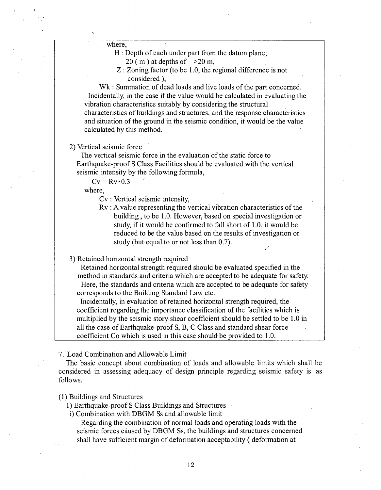where,

- H : Depth of each under part from the datum plane;
	- 20 (m) at depths of  $>20$  m.
- Z: Zoning factor (to **be 1.0,** the regional difference is not considered).

Whethereform Summation of dead loads and live loads of the part concerned. Incidentally, in the case if the value would be calculated in evaluating the vibration characteristics suitably **by** considering the structural characteristics of buildings and structures, and the response characteristics and situation of the ground in the seismic condition, it would be the value calculated **by** this method.

2) Vertical seismic force

The vertical seismic force in the evaluation of the static force to Earthquake-proof **S** Class Facilities should be evaluated with the vertical seismic intensity **by** the following formula,

 $Cv = Rv \cdot 0.3$ 

where,

Cv: Vertical seismic intensity,

Rv **: A** value representing the vertical vibration characteristics of the building, to be **1.0.** However, based on special investigation or study, if it would be confirmed to fall short of **1.0,** it would be reduced to be the value based on the results of investigation or study (but-equal to or not less than **0.7).**

**3)** Retained horizontal strength required

Retained horizontal strength required should be evaluated specified in the method in standards and criteria which are accepted to be adequate for safety. Here, the standards and criteria which are accepted to be adequate for safety corresponds to the Building Standard Law etc.

Incidentally, in evaluation of retained horizontal strength required, the coefficient regarding the importance classification of the facilities which is multiplied by the seismic story shear coefficient should be settled to be 1.0 in all the case of Earthquake-proof **S,** B, **C** Class and standard shear force coefficient Co which is used **'in** this case should be provided to **1.0.**

**7.** Load Combination and Allowable Limit

The basic concept about combination of loads and allowable limits which shall be considered in assessing adequacy of design principle regarding seismic safety is as **follows.**

## **(1)** Buildings and Structures

**1)** Earthquake-proof **S** Class Buildings and Structures

i) Combination with DBGM Ss and allowable limit

Regarding the combination of normal loads and operating loads with the seismic forces caused **by** DBGM Ss, the buildings and structures concerned shall have sufficient margin of deformation acceptability **(** deformation at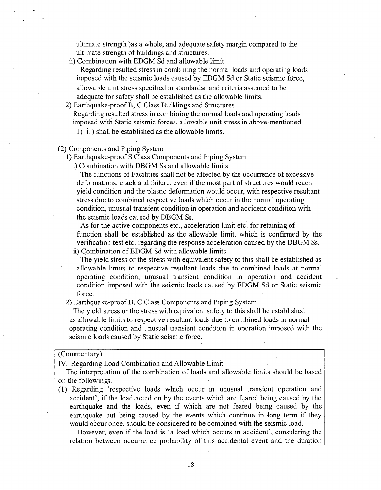ultimate strength )as a whole, and adequate safety margin compared to the ultimate strength of buildings and structures.

ii) Combination with EDGM Sd and allowable limit

Regarding resulted stress in combining the normal loads and operating loads imposed with the seismic loads caused by EDGM Sd or Static seismic force, allowable unit stress specified in standards and criteria assumed to be adequate for safety shall be established as the allowable limits.

2) Earthquake-proof B, C Class Buildings and Structures

Regarding resulted stress in combining the normal loads and operating loads imposed with Static seismic forces, allowable unit stress in above-mentioned

1) ii ) shall be established as the allowable limits.

(2) Components and Piping System

1) Earthquake-proof S Class Components and Piping System

i) Combination with DBGM Ss and allowable limits

The functions of Facilities shall not be affected by the occurrence of excessive deformations, crack and failure, even if the most part of structures would reach yield condition and the plastic deformation would occur, with respective resultant stress due to combined respective loads which occur in the normal operating condition, unusual transient condition in operation and accident condition with the seismic loads caused by DBGM Ss.

As for the active components etc., acceleration limit etc. for retaining of function shall be established as the allowable limit, which is confirmed by the verification test etc. regarding the response acceleration caused by the DBGM Ss.

ii) Combination of EDGM Sd with allowable limits

The yield stress or the stress with equivalent safety to this shall be established as allowable limits to respective resultant loads due to combined loads at normal operating condition, unusual transient condition in operation and accident condition imposed with the seismic loads caused by EDGM Sd or Static seismic force.

2) Earthquake-proof B, C Class Components and Piping System

The yield stress or the stress with equivalent safety to this shall be established as allowable limits to respective resultant loads due to combined loads in normal operating condition and unusual transient condition in operation imposed with the seismic loads caused by Static seismic force.

### (Commentary)

IV. Regarding Load Combination and Allowable Limit

The interpretation of the combination of loads and allowable limits should be based on the followings.

(1) Regarding 'respective loads which occur in unusual transient operation and accident', if the load acted on by the events which are feared being caused by the earthquake and the loads, even if which are not feared being caused by the earthquake but being caused by the events which continue in long term if they would occur once, should be considered to be combined with the seismic load.

However, even if the load is 'a load which occurs in accident', considering the relation between occurrence probability of this accidental event and the duration